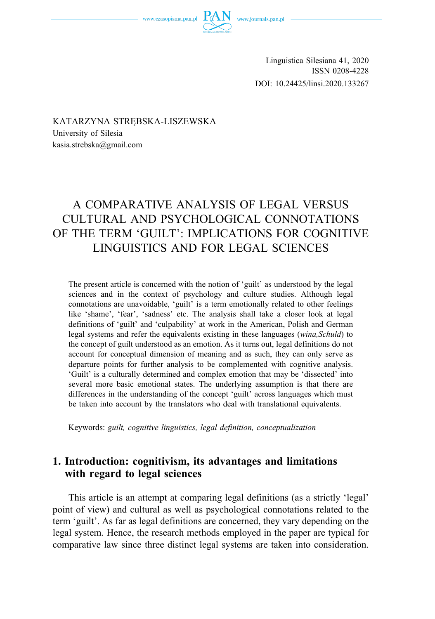Linguistica Silesiana 41, 2020 ISSN 0208-4228 DOI: 10.24425/linsi.2020.133267

KATARZYNA STRĘBSKA-LISZEWSKA University of Silesia kasia.strebska@gmail.com

# A COMPARATIVE ANALYSIS OF LEGAL VERSUS CULTURAL AND PSYCHOLOGICAL CONNOTATIONS OF THE TERM 'GUILT': IMPLICATIONS FOR COGNITIVE LINGUISTICS AND FOR LEGAL SCIENCES

The present article is concerned with the notion of 'guilt' as understood by the legal sciences and in the context of psychology and culture studies. Although legal connotations are unavoidable, 'guilt' is a term emotionally related to other feelings like 'shame', 'fear', 'sadness' etc. The analysis shall take a closer look at legal definitions of 'guilt' and 'culpability' at work in the American, Polish and German legal systems and refer the equivalents existing in these languages (*wina,Schuld*) to the concept of guilt understood as an emotion. As it turns out, legal definitions do not account for conceptual dimension of meaning and as such, they can only serve as departure points for further analysis to be complemented with cognitive analysis. 'Guilt' is a culturally determined and complex emotion that may be 'dissected' into several more basic emotional states. The underlying assumption is that there are differences in the understanding of the concept 'guilt' across languages which must be taken into account by the translators who deal with translational equivalents.

Keywords: *guilt, cognitive linguistics, legal definition, conceptualization* 

# **1. Introduction: cognitivism, its advantages and limitations with regard to legal sciences**

This article is an attempt at comparing legal definitions (as a strictly 'legal' point of view) and cultural as well as psychological connotations related to the term 'guilt'. As far as legal definitions are concerned, they vary depending on the legal system. Hence, the research methods employed in the paper are typical for comparative law since three distinct legal systems are taken into consideration.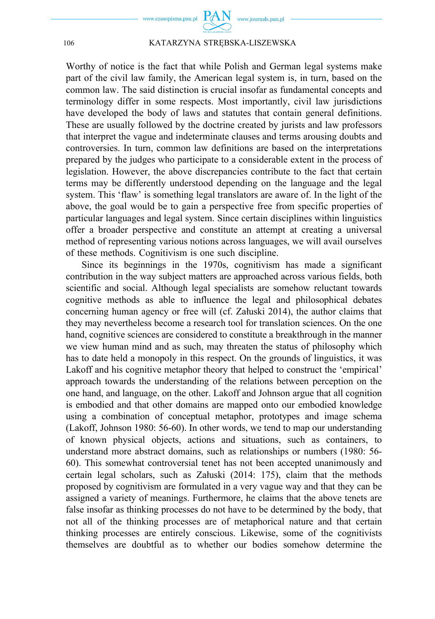

Worthy of notice is the fact that while Polish and German legal systems make part of the civil law family, the American legal system is, in turn, based on the common law. The said distinction is crucial insofar as fundamental concepts and terminology differ in some respects. Most importantly, civil law jurisdictions have developed the body of laws and statutes that contain general definitions. These are usually followed by the doctrine created by jurists and law professors that interpret the vague and indeterminate clauses and terms arousing doubts and controversies. In turn, common law definitions are based on the interpretations prepared by the judges who participate to a considerable extent in the process of legislation. However, the above discrepancies contribute to the fact that certain terms may be differently understood depending on the language and the legal system. This 'flaw' is something legal translators are aware of. In the light of the above, the goal would be to gain a perspective free from specific properties of particular languages and legal system. Since certain disciplines within linguistics offer a broader perspective and constitute an attempt at creating a universal method of representing various notions across languages, we will avail ourselves of these methods. Cognitivism is one such discipline.

Since its beginnings in the 1970s, cognitivism has made a significant contribution in the way subject matters are approached across various fields, both scientific and social. Although legal specialists are somehow reluctant towards cognitive methods as able to influence the legal and philosophical debates concerning human agency or free will (cf. Załuski 2014), the author claims that they may nevertheless become a research tool for translation sciences. On the one hand, cognitive sciences are considered to constitute a breakthrough in the manner we view human mind and as such, may threaten the status of philosophy which has to date held a monopoly in this respect. On the grounds of linguistics, it was Lakoff and his cognitive metaphor theory that helped to construct the 'empirical' approach towards the understanding of the relations between perception on the one hand, and language, on the other. Lakoff and Johnson argue that all cognition is embodied and that other domains are mapped onto our embodied knowledge using a combination of conceptual metaphor, prototypes and image schema (Lakoff, Johnson 1980: 56-60). In other words, we tend to map our understanding of known physical objects, actions and situations, such as containers, to understand more abstract domains, such as relationships or numbers (1980: 56- 60). This somewhat controversial tenet has not been accepted unanimously and certain legal scholars, such as Załuski (2014: 175), claim that the methods proposed by cognitivism are formulated in a very vague way and that they can be assigned a variety of meanings. Furthermore, he claims that the above tenets are false insofar as thinking processes do not have to be determined by the body, that not all of the thinking processes are of metaphorical nature and that certain thinking processes are entirely conscious. Likewise, some of the cognitivists themselves are doubtful as to whether our bodies somehow determine the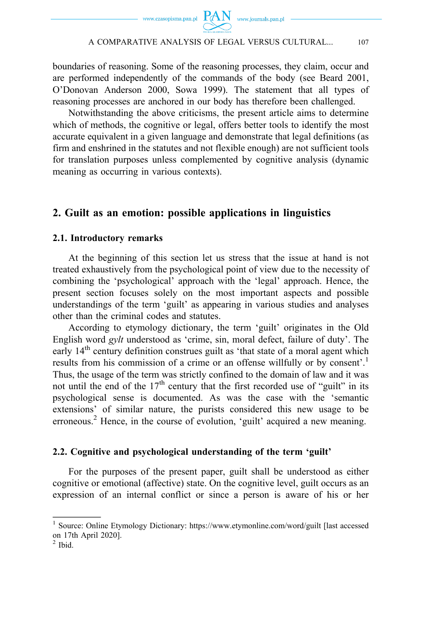



boundaries of reasoning. Some of the reasoning processes, they claim, occur and are performed independently of the commands of the body (see Beard 2001, O'Donovan Anderson 2000, Sowa 1999). The statement that all types of reasoning processes are anchored in our body has therefore been challenged.

Notwithstanding the above criticisms, the present article aims to determine which of methods, the cognitive or legal, offers better tools to identify the most accurate equivalent in a given language and demonstrate that legal definitions (as firm and enshrined in the statutes and not flexible enough) are not sufficient tools for translation purposes unless complemented by cognitive analysis (dynamic meaning as occurring in various contexts).

# **2. Guilt as an emotion: possible applications in linguistics**

### **2.1. Introductory remarks**

At the beginning of this section let us stress that the issue at hand is not treated exhaustively from the psychological point of view due to the necessity of combining the 'psychological' approach with the 'legal' approach. Hence, the present section focuses solely on the most important aspects and possible understandings of the term 'guilt' as appearing in various studies and analyses other than the criminal codes and statutes.

According to etymology dictionary, the term 'guilt' originates in the Old English word *gylt* understood as 'crime, sin, moral defect, failure of duty'. The early 14<sup>th</sup> century definition construes guilt as 'that state of a moral agent which results from his commission of a crime or an offense willfully or by consent'.<sup>1</sup> Thus, the usage of the term was strictly confined to the domain of law and it was not until the end of the 17<sup>th</sup> century that the first recorded use of "guilt" in its psychological sense is documented. As was the case with the 'semantic extensions' of similar nature, the purists considered this new usage to be erroneous.<sup>2</sup> Hence, in the course of evolution, 'guilt' acquired a new meaning.

### **2.2. Cognitive and psychological understanding of the term 'guilt'**

For the purposes of the present paper, guilt shall be understood as either cognitive or emotional (affective) state. On the cognitive level, guilt occurs as an expression of an internal conflict or since a person is aware of his or her

<sup>&</sup>lt;sup>1</sup> Source: Online Etymology Dictionary: https://www.etymonline.com/word/guilt [last accessed on 17th April 2020].

 $<sup>2</sup>$  Ibid.</sup>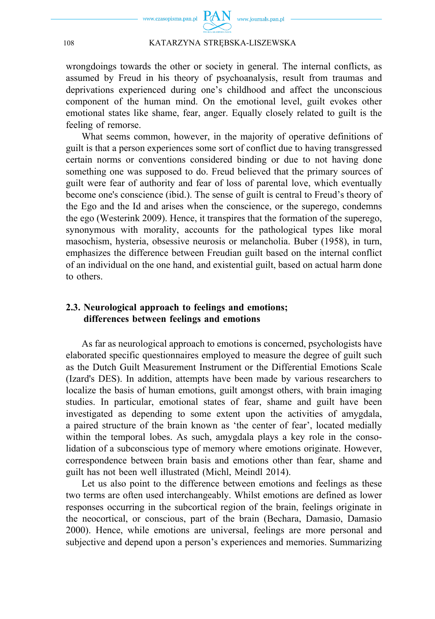

wrongdoings towards the other or society in general. The internal conflicts, as assumed by Freud in his theory of psychoanalysis, result from traumas and deprivations experienced during one's childhood and affect the unconscious component of the human mind. On the emotional level, guilt evokes other emotional states like shame, fear, anger. Equally closely related to guilt is the feeling of remorse.

What seems common, however, in the majority of operative definitions of guilt is that a person experiences some sort of conflict due to having transgressed certain norms or conventions considered binding or due to not having done something one was supposed to do. Freud believed that the primary sources of guilt were fear of authority and fear of loss of parental love, which eventually become one's conscience (ibid.). The sense of guilt is central to Freud's theory of the Ego and the Id and arises when the conscience, or the superego, condemns the ego (Westerink 2009). Hence, it transpires that the formation of the superego, synonymous with morality, accounts for the pathological types like moral masochism, hysteria, obsessive neurosis or melancholia. Buber (1958), in turn, emphasizes the difference between Freudian guilt based on the internal conflict of an individual on the one hand, and existential guilt, based on actual harm done to others.

# **2.3. Neurological approach to feelings and emotions; differences between feelings and emotions**

As far as neurological approach to emotions is concerned, psychologists have elaborated specific questionnaires employed to measure the degree of guilt such as the Dutch Guilt Measurement Instrument or the Differential Emotions Scale (Izard's DES). In addition, attempts have been made by various researchers to localize the basis of human emotions, guilt amongst others, with brain imaging studies. In particular, emotional states of fear, shame and guilt have been investigated as depending to some extent upon the activities of amygdala, a paired structure of the brain known as 'the center of fear', located medially within the temporal lobes. As such, amygdala plays a key role in the consolidation of a subconscious type of memory where emotions originate. However, correspondence between brain basis and emotions other than fear, shame and guilt has not been well illustrated (Michl, Meindl 2014).

Let us also point to the difference between emotions and feelings as these two terms are often used interchangeably. Whilst emotions are defined as lower responses occurring in the subcortical region of the brain, feelings originate in the neocortical, or conscious, part of the brain (Bechara, Damasio, Damasio 2000). Hence, while emotions are universal, feelings are more personal and subjective and depend upon a person's experiences and memories. Summarizing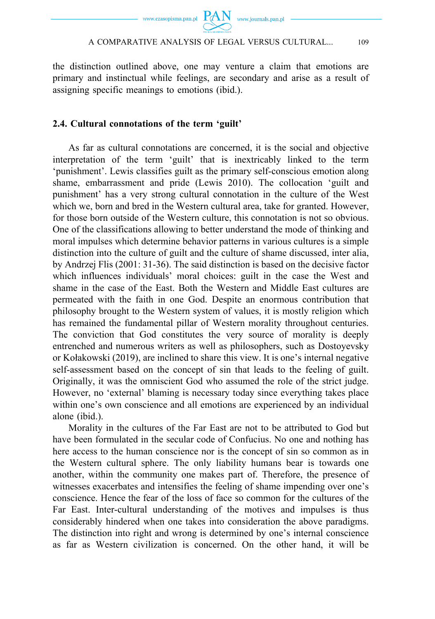

the distinction outlined above, one may venture a claim that emotions are primary and instinctual while feelings, are secondary and arise as a result of assigning specific meanings to emotions (ibid.).

### **2.4. Cultural connotations of the term 'guilt'**

As far as cultural connotations are concerned, it is the social and objective interpretation of the term 'guilt' that is inextricably linked to the term 'punishment'. Lewis classifies guilt as the primary self-conscious emotion along shame, embarrassment and pride (Lewis 2010). The collocation 'guilt and punishment' has a very strong cultural connotation in the culture of the West which we, born and bred in the Western cultural area, take for granted. However, for those born outside of the Western culture, this connotation is not so obvious. One of the classifications allowing to better understand the mode of thinking and moral impulses which determine behavior patterns in various cultures is a simple distinction into the culture of guilt and the culture of shame discussed, inter alia, by Andrzej Flis (2001: 31-36). The said distinction is based on the decisive factor which influences individuals' moral choices: guilt in the case the West and shame in the case of the East. Both the Western and Middle East cultures are permeated with the faith in one God. Despite an enormous contribution that philosophy brought to the Western system of values, it is mostly religion which has remained the fundamental pillar of Western morality throughout centuries. The conviction that God constitutes the very source of morality is deeply entrenched and numerous writers as well as philosophers, such as Dostoyevsky or Kołakowski (2019), are inclined to share this view. It is one's internal negative self-assessment based on the concept of sin that leads to the feeling of guilt. Originally, it was the omniscient God who assumed the role of the strict judge. However, no 'external' blaming is necessary today since everything takes place within one's own conscience and all emotions are experienced by an individual alone (ibid.).

Morality in the cultures of the Far East are not to be attributed to God but have been formulated in the secular code of Confucius. No one and nothing has here access to the human conscience nor is the concept of sin so common as in the Western cultural sphere. The only liability humans bear is towards one another, within the community one makes part of. Therefore, the presence of witnesses exacerbates and intensifies the feeling of shame impending over one's conscience. Hence the fear of the loss of face so common for the cultures of the Far East. Inter-cultural understanding of the motives and impulses is thus considerably hindered when one takes into consideration the above paradigms. The distinction into right and wrong is determined by one's internal conscience as far as Western civilization is concerned. On the other hand, it will be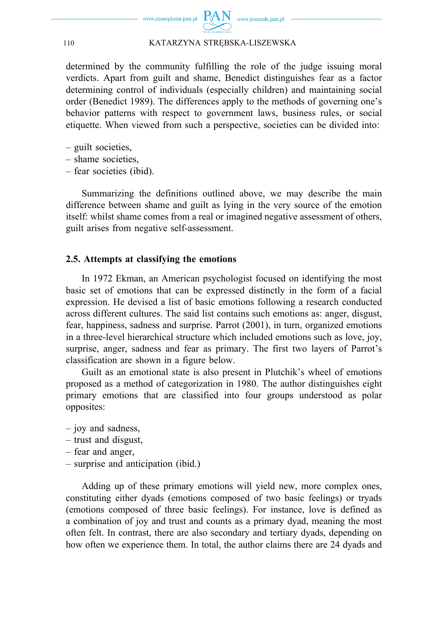

determined by the community fulfilling the role of the judge issuing moral verdicts. Apart from guilt and shame, Benedict distinguishes fear as a factor determining control of individuals (especially children) and maintaining social order (Benedict 1989). The differences apply to the methods of governing one's behavior patterns with respect to government laws, business rules, or social etiquette. When viewed from such a perspective, societies can be divided into:

- guilt societies,
- shame societies,
- fear societies (ibid).

Summarizing the definitions outlined above, we may describe the main difference between shame and guilt as lying in the very source of the emotion itself: whilst shame comes from a real or imagined negative assessment of others, guilt arises from negative self-assessment.

#### **2.5. Attempts at classifying the emotions**

In 1972 Ekman, an American psychologist focused on identifying the most basic set of emotions that can be expressed distinctly in the form of a facial expression. He devised a list of basic emotions following a research conducted across different cultures. The said list contains such emotions as: anger, disgust, fear, happiness, sadness and surprise. Parrot (2001), in turn, organized emotions in a three-level hierarchical structure which included emotions such as love, joy, surprise, anger, sadness and fear as primary. The first two layers of Parrot's classification are shown in a figure below.

Guilt as an emotional state is also present in Plutchik's wheel of emotions proposed as a method of categorization in 1980. The author distinguishes eight primary emotions that are classified into four groups understood as polar opposites:

- joy and sadness,
- trust and disgust,
- fear and anger,
- surprise and anticipation (ibid.)

Adding up of these primary emotions will yield new, more complex ones, constituting either dyads (emotions composed of two basic feelings) or tryads (emotions composed of three basic feelings). For instance, love is defined as a combination of joy and trust and counts as a primary dyad, meaning the most often felt. In contrast, there are also secondary and tertiary dyads, depending on how often we experience them. In total, the author claims there are 24 dyads and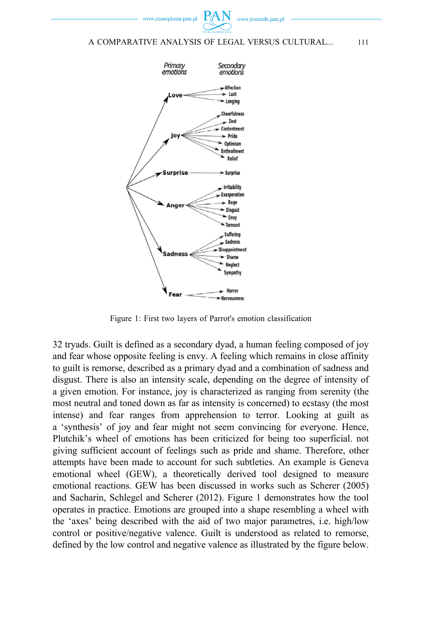www.czasonisma.nan.nl



### A COMPARATIVE ANALYSIS OF LEGAL VERSUS CULTURAL... 111



Figure 1: First two layers of Parrot's emotion classification

32 tryads. Guilt is defined as a secondary dyad, a human feeling composed of joy and fear whose opposite feeling is envy. A feeling which remains in close affinity to guilt is remorse, described as a primary dyad and a combination of sadness and disgust. There is also an intensity scale, depending on the degree of intensity of a given emotion. For instance, joy is characterized as ranging from serenity (the most neutral and toned down as far as intensity is concerned) to ecstasy (the most intense) and fear ranges from apprehension to terror. Looking at guilt as a 'synthesis' of joy and fear might not seem convincing for everyone. Hence, Plutchik's wheel of emotions has been criticized for being too superficial. not giving sufficient account of feelings such as pride and shame. Therefore, other attempts have been made to account for such subtleties. An example is Geneva emotional wheel (GEW), a theoretically derived tool designed to measure emotional reactions. GEW has been discussed in works such as Scherer (2005) and Sacharin, Schlegel and Scherer (2012). Figure 1 demonstrates how the tool operates in practice. Emotions are grouped into a shape resembling a wheel with the 'axes' being described with the aid of two major parametres, i.e. high/low control or positive/negative valence. Guilt is understood as related to remorse, defined by the low control and negative valence as illustrated by the figure below.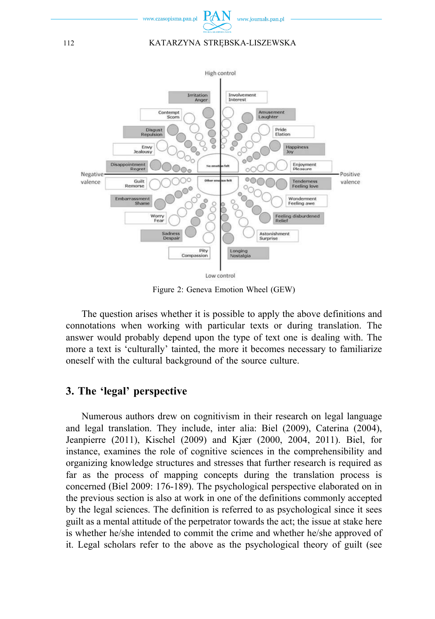



Figure 2: Geneva Emotion Wheel (GEW)

The question arises whether it is possible to apply the above definitions and connotations when working with particular texts or during translation. The answer would probably depend upon the type of text one is dealing with. The more a text is 'culturally' tainted, the more it becomes necessary to familiarize oneself with the cultural background of the source culture.

# **3. The 'legal' perspective**

Numerous authors drew on cognitivism in their research on legal language and legal translation. They include, inter alia: Biel (2009), Caterina (2004), Jeanpierre (2011), Kischel (2009) and Kjær (2000, 2004, 2011). Biel, for instance, examines the role of cognitive sciences in the comprehensibility and organizing knowledge structures and stresses that further research is required as far as the process of mapping concepts during the translation process is concerned (Biel 2009: 176-189). The psychological perspective elaborated on in the previous section is also at work in one of the definitions commonly accepted by the legal sciences. The definition is referred to as psychological since it sees guilt as a mental attitude of the perpetrator towards the act; the issue at stake here is whether he/she intended to commit the crime and whether he/she approved of it. Legal scholars refer to the above as the psychological theory of guilt (see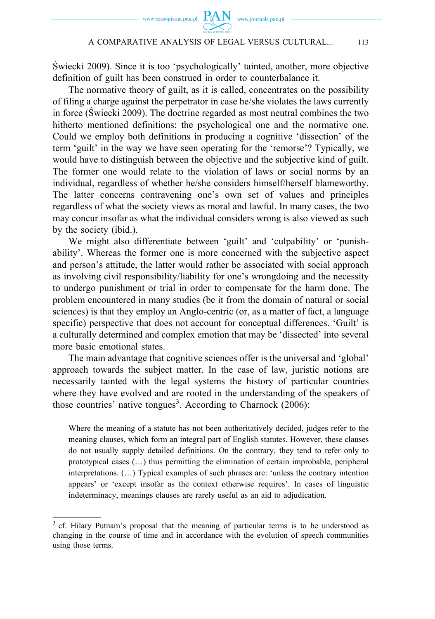Świecki 2009). Since it is too 'psychologically' tainted, another, more objective definition of guilt has been construed in order to counterbalance it.

The normative theory of guilt, as it is called, concentrates on the possibility of filing a charge against the perpetrator in case he/she violates the laws currently in force (Świecki 2009). The doctrine regarded as most neutral combines the two hitherto mentioned definitions: the psychological one and the normative one. Could we employ both definitions in producing a cognitive 'dissection' of the term 'guilt' in the way we have seen operating for the 'remorse'? Typically, we would have to distinguish between the objective and the subjective kind of guilt. The former one would relate to the violation of laws or social norms by an individual, regardless of whether he/she considers himself/herself blameworthy. The latter concerns contravening one's own set of values and principles regardless of what the society views as moral and lawful. In many cases, the two may concur insofar as what the individual considers wrong is also viewed as such by the society (ibid.).

We might also differentiate between 'guilt' and 'culpability' or 'punishability'. Whereas the former one is more concerned with the subjective aspect and person's attitude, the latter would rather be associated with social approach as involving civil responsibility/liability for one's wrongdoing and the necessity to undergo punishment or trial in order to compensate for the harm done. The problem encountered in many studies (be it from the domain of natural or social sciences) is that they employ an Anglo-centric (or, as a matter of fact, a language specific) perspective that does not account for conceptual differences. 'Guilt' is a culturally determined and complex emotion that may be 'dissected' into several more basic emotional states.

The main advantage that cognitive sciences offer is the universal and 'global' approach towards the subject matter. In the case of law, juristic notions are necessarily tainted with the legal systems the history of particular countries where they have evolved and are rooted in the understanding of the speakers of those countries' native tongues<sup>3</sup>. According to Charnock  $(2006)$ :

Where the meaning of a statute has not been authoritatively decided, judges refer to the meaning clauses, which form an integral part of English statutes. However, these clauses do not usually supply detailed definitions. On the contrary, they tend to refer only to prototypical cases (…) thus permitting the elimination of certain improbable, peripheral interpretations. (…) Typical examples of such phrases are: 'unless the contrary intention appears' or 'except insofar as the context otherwise requires'. In cases of linguistic indeterminacy, meanings clauses are rarely useful as an aid to adjudication.

<sup>&</sup>lt;sup>3</sup> cf. Hilary Putnam's proposal that the meaning of particular terms is to be understood as changing in the course of time and in accordance with the evolution of speech communities using those terms.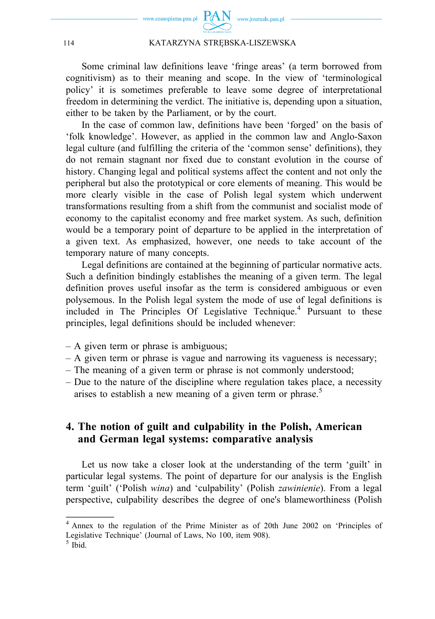

Some criminal law definitions leave 'fringe areas' (a term borrowed from cognitivism) as to their meaning and scope. In the view of 'terminological policy' it is sometimes preferable to leave some degree of interpretational freedom in determining the verdict. The initiative is, depending upon a situation, either to be taken by the Parliament, or by the court.

In the case of common law, definitions have been 'forged' on the basis of 'folk knowledge'. However, as applied in the common law and Anglo-Saxon legal culture (and fulfilling the criteria of the 'common sense' definitions), they do not remain stagnant nor fixed due to constant evolution in the course of history. Changing legal and political systems affect the content and not only the peripheral but also the prototypical or core elements of meaning. This would be more clearly visible in the case of Polish legal system which underwent transformations resulting from a shift from the communist and socialist mode of economy to the capitalist economy and free market system. As such, definition would be a temporary point of departure to be applied in the interpretation of a given text. As emphasized, however, one needs to take account of the temporary nature of many concepts.

Legal definitions are contained at the beginning of particular normative acts. Such a definition bindingly establishes the meaning of a given term. The legal definition proves useful insofar as the term is considered ambiguous or even polysemous. In the Polish legal system the mode of use of legal definitions is included in The Principles Of Legislative Technique.<sup>4</sup> Pursuant to these principles, legal definitions should be included whenever:

- A given term or phrase is ambiguous;
- A given term or phrase is vague and narrowing its vagueness is necessary;
- The meaning of a given term or phrase is not commonly understood;
- Due to the nature of the discipline where regulation takes place, a necessity arises to establish a new meaning of a given term or phrase.<sup>5</sup>

# **4. The notion of guilt and culpability in the Polish, American and German legal systems: comparative analysis**

Let us now take a closer look at the understanding of the term 'guilt' in particular legal systems. The point of departure for our analysis is the English term 'guilt' ('Polish *wina*) and 'culpability' (Polish *zawinienie*). From a legal perspective, culpability describes the degree of one's blameworthiness (Polish

<sup>4</sup> Annex to the regulation of the Prime Minister as of 20th June 2002 on 'Principles of Legislative Technique' (Journal of Laws, No 100, item 908).

 $<sup>5</sup>$  Ibid.</sup>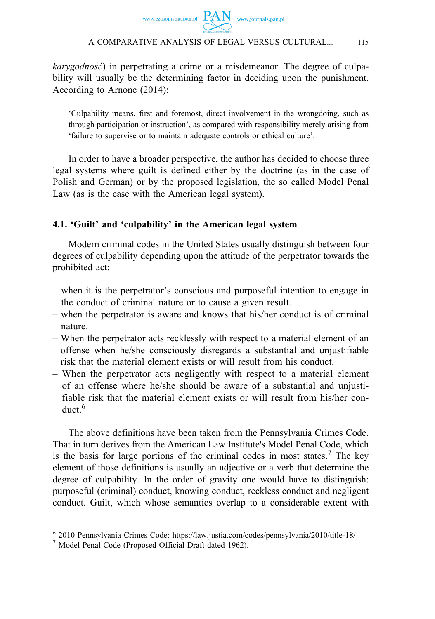*karygodność*) in perpetrating a crime or a misdemeanor. The degree of culpability will usually be the determining factor in deciding upon the punishment. According to Arnone (2014):

'Culpability means, first and foremost, direct involvement in the wrongdoing, such as through participation or instruction', as compared with responsibility merely arising from 'failure to supervise or to maintain adequate controls or ethical culture'.

In order to have a broader perspective, the author has decided to choose three legal systems where guilt is defined either by the doctrine (as in the case of Polish and German) or by the proposed legislation, the so called Model Penal Law (as is the case with the American legal system).

## **4.1. 'Guilt' and 'culpability' in the American legal system**

Modern criminal codes in the United States usually distinguish between four degrees of culpability depending upon the attitude of the perpetrator towards the prohibited act:

- when it is the perpetrator's conscious and purposeful intention to engage in the conduct of criminal nature or to cause a given result.
- when the perpetrator is aware and knows that his/her conduct is of criminal nature.
- When the perpetrator acts recklessly with respect to a material element of an offense when he/she consciously disregards a substantial and unjustifiable risk that the material element exists or will result from his conduct.
- When the perpetrator acts negligently with respect to a material element of an offense where he/she should be aware of a substantial and unjustifiable risk that the material element exists or will result from his/her conduct  $6$

The above definitions have been taken from the Pennsylvania Crimes Code. That in turn derives from the American Law Institute's Model Penal Code, which is the basis for large portions of the criminal codes in most states.<sup>7</sup> The key element of those definitions is usually an adjective or a verb that determine the degree of culpability. In the order of gravity one would have to distinguish: purposeful (criminal) conduct, knowing conduct, reckless conduct and negligent conduct. Guilt, which whose semantics overlap to a considerable extent with

<sup>6 2010</sup> Pennsylvania Crimes Code: https://law.justia.com/codes/pennsylvania/2010/title-18/

<sup>7</sup> Model Penal Code (Proposed Official Draft dated 1962).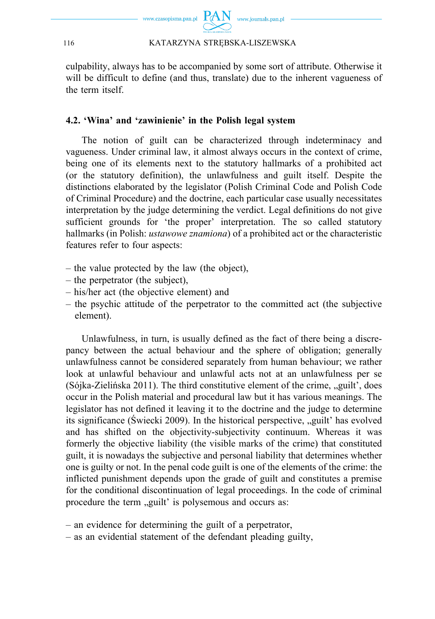

culpability, always has to be accompanied by some sort of attribute. Otherwise it will be difficult to define (and thus, translate) due to the inherent vagueness of the term itself.

## **4.2. 'Wina' and 'zawinienie' in the Polish legal system**

The notion of guilt can be characterized through indeterminacy and vagueness. Under criminal law, it almost always occurs in the context of crime, being one of its elements next to the statutory hallmarks of a prohibited act (or the statutory definition), the unlawfulness and guilt itself. Despite the distinctions elaborated by the legislator (Polish Criminal Code and Polish Code of Criminal Procedure) and the doctrine, each particular case usually necessitates interpretation by the judge determining the verdict. Legal definitions do not give sufficient grounds for 'the proper' interpretation. The so called statutory hallmarks (in Polish: *ustawowe znamiona*) of a prohibited act or the characteristic features refer to four aspects:

- the value protected by the law (the object),
- the perpetrator (the subject),
- his/her act (the objective element) and
- the psychic attitude of the perpetrator to the committed act (the subjective element).

Unlawfulness, in turn, is usually defined as the fact of there being a discrepancy between the actual behaviour and the sphere of obligation; generally unlawfulness cannot be considered separately from human behaviour; we rather look at unlawful behaviour and unlawful acts not at an unlawfulness per se (Sójka-Zielińska 2011). The third constitutive element of the crime, "guilt', does occur in the Polish material and procedural law but it has various meanings. The legislator has not defined it leaving it to the doctrine and the judge to determine its significance (Świecki 2009). In the historical perspective, "guilt' has evolved and has shifted on the objectivity-subjectivity continuum. Whereas it was formerly the objective liability (the visible marks of the crime) that constituted guilt, it is nowadays the subjective and personal liability that determines whether one is guilty or not. In the penal code guilt is one of the elements of the crime: the inflicted punishment depends upon the grade of guilt and constitutes a premise for the conditional discontinuation of legal proceedings. In the code of criminal procedure the term "guilt' is polysemous and occurs as:

– an evidence for determining the guilt of a perpetrator,

– as an evidential statement of the defendant pleading guilty,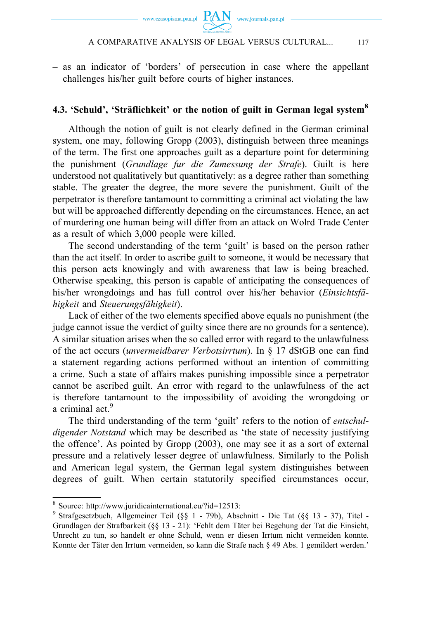– as an indicator of 'borders' of persecution in case where the appellant challenges his/her guilt before courts of higher instances.

## **4.3. 'Schuld', 'Sträflichkeit' or the notion of guilt in German legal system8**

Although the notion of guilt is not clearly defined in the German criminal system, one may, following Gropp (2003), distinguish between three meanings of the term. The first one approaches guilt as a departure point for determining the punishment (*Grundlage fur die Zumessung der Strafe*). Guilt is here understood not qualitatively but quantitatively: as a degree rather than something stable. The greater the degree, the more severe the punishment. Guilt of the perpetrator is therefore tantamount to committing a criminal act violating the law but will be approached differently depending on the circumstances. Hence, an act of murdering one human being will differ from an attack on Wolrd Trade Center as a result of which 3,000 people were killed.

The second understanding of the term 'guilt' is based on the person rather than the act itself. In order to ascribe guilt to someone, it would be necessary that this person acts knowingly and with awareness that law is being breached. Otherwise speaking, this person is capable of anticipating the consequences of his/her wrongdoings and has full control over his/her behavior (*Einsichtsfähigkeit* and *Steuerungsfähigkeit*).

Lack of either of the two elements specified above equals no punishment (the judge cannot issue the verdict of guilty since there are no grounds for a sentence). A similar situation arises when the so called error with regard to the unlawfulness of the act occurs (*unvermeidbarer Verbotsirrtum*). In § 17 dStGB one can find a statement regarding actions performed without an intention of committing a crime. Such a state of affairs makes punishing impossible since a perpetrator cannot be ascribed guilt. An error with regard to the unlawfulness of the act is therefore tantamount to the impossibility of avoiding the wrongdoing or a criminal act.<sup>9</sup>

The third understanding of the term 'guilt' refers to the notion of *entschuldigender Notstand* which may be described as 'the state of necessity justifying the offence'. As pointed by Gropp (2003), one may see it as a sort of external pressure and a relatively lesser degree of unlawfulness. Similarly to the Polish and American legal system, the German legal system distinguishes between degrees of guilt. When certain statutorily specified circumstances occur,

<sup>8</sup> Source: http://www.juridicainternational.eu/?id=12513:

<sup>9</sup> Strafgesetzbuch, Allgemeiner Teil (§§ 1 - 79b), Abschnitt - Die Tat (§§ 13 - 37), Titel - Grundlagen der Strafbarkeit (§§ 13 - 21): 'Fehlt dem Täter bei Begehung der Tat die Einsicht, Unrecht zu tun, so handelt er ohne Schuld, wenn er diesen Irrtum nicht vermeiden konnte. Konnte der Täter den Irrtum vermeiden, so kann die Strafe nach § 49 Abs. 1 gemildert werden.'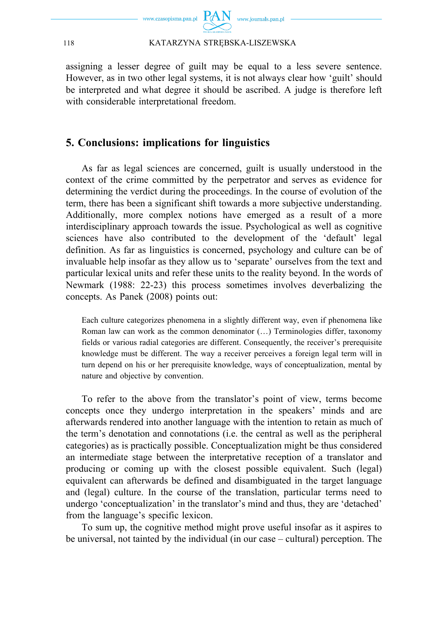

assigning a lesser degree of guilt may be equal to a less severe sentence. However, as in two other legal systems, it is not always clear how 'guilt' should be interpreted and what degree it should be ascribed. A judge is therefore left with considerable interpretational freedom.

# **5. Conclusions: implications for linguistics**

As far as legal sciences are concerned, guilt is usually understood in the context of the crime committed by the perpetrator and serves as evidence for determining the verdict during the proceedings. In the course of evolution of the term, there has been a significant shift towards a more subjective understanding. Additionally, more complex notions have emerged as a result of a more interdisciplinary approach towards the issue. Psychological as well as cognitive sciences have also contributed to the development of the 'default' legal definition. As far as linguistics is concerned, psychology and culture can be of invaluable help insofar as they allow us to 'separate' ourselves from the text and particular lexical units and refer these units to the reality beyond. In the words of Newmark (1988: 22-23) this process sometimes involves deverbalizing the concepts. As Panek (2008) points out:

Each culture categorizes phenomena in a slightly different way, even if phenomena like Roman law can work as the common denominator (…) Terminologies differ, taxonomy fields or various radial categories are different. Consequently, the receiver's prerequisite knowledge must be different. The way a receiver perceives a foreign legal term will in turn depend on his or her prerequisite knowledge, ways of conceptualization, mental by nature and objective by convention.

To refer to the above from the translator's point of view, terms become concepts once they undergo interpretation in the speakers' minds and are afterwards rendered into another language with the intention to retain as much of the term's denotation and connotations (i.e. the central as well as the peripheral categories) as is practically possible. Conceptualization might be thus considered an intermediate stage between the interpretative reception of a translator and producing or coming up with the closest possible equivalent. Such (legal) equivalent can afterwards be defined and disambiguated in the target language and (legal) culture. In the course of the translation, particular terms need to undergo 'conceptualization' in the translator's mind and thus, they are 'detached' from the language's specific lexicon.

To sum up, the cognitive method might prove useful insofar as it aspires to be universal, not tainted by the individual (in our case – cultural) perception. The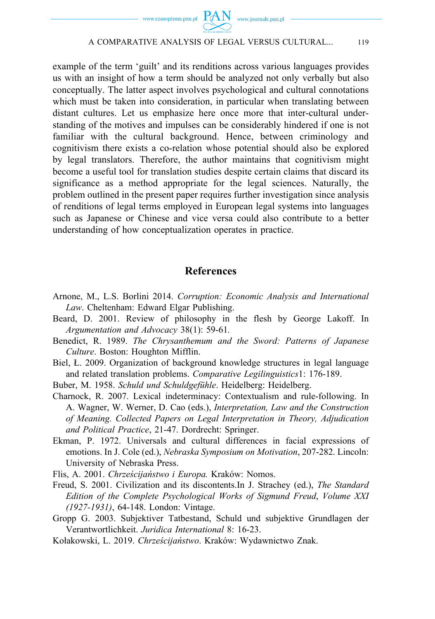

example of the term 'guilt' and its renditions across various languages provides us with an insight of how a term should be analyzed not only verbally but also conceptually. The latter aspect involves psychological and cultural connotations which must be taken into consideration, in particular when translating between distant cultures. Let us emphasize here once more that inter-cultural understanding of the motives and impulses can be considerably hindered if one is not familiar with the cultural background. Hence, between criminology and cognitivism there exists a co-relation whose potential should also be explored by legal translators. Therefore, the author maintains that cognitivism might become a useful tool for translation studies despite certain claims that discard its significance as a method appropriate for the legal sciences. Naturally, the problem outlined in the present paper requires further investigation since analysis of renditions of legal terms employed in European legal systems into languages such as Japanese or Chinese and vice versa could also contribute to a better understanding of how conceptualization operates in practice.

# **References**

- Arnone, M., L.S. Borlini 2014. *Corruption: Economic Analysis and International Law*. Cheltenham: Edward Elgar Publishing.
- Beard, D. 2001. Review of philosophy in the flesh by George Lakoff. In *Argumentation and Advocacy* 38(1): 59-61*.*
- Benedict, R. 1989. *The Chrysanthemum and the Sword: Patterns of Japanese Culture*. Boston: Houghton Mifflin.
- Biel, Ł. 2009. Organization of background knowledge structures in legal language and related translation problems. *Comparative Legilinguistics*1: 176-189.
- Buber, M. 1958. *Schuld und Schuldgefühle*. Heidelberg: Heidelberg.
- Charnock, R. 2007. Lexical indeterminacy: Contextualism and rule-following. In A. Wagner, W. Werner, D. Cao (eds.), *Interpretation, Law and the Construction of Meaning. Collected Papers on Legal Interpretation in Theory, Adjudication and Political Practice*, 21-47. Dordrecht: Springer.
- Ekman, P. 1972. Universals and cultural differences in facial expressions of emotions. In J. Cole (ed.), *Nebraska Symposium on Motivation*, 207-282. Lincoln: University of Nebraska Press.
- Flis, A. 2001. *Chrześcijaństwo i Europa.* Kraków: Nomos.
- Freud, S. 2001. Civilization and its discontents.In J. Strachey (ed.), *The Standard Edition of the Complete Psychological Works of Sigmund Freud*, *Volume XXI (1927-1931)*, 64-148. London: Vintage.
- Gropp G. 2003. Subjektiver Tatbestand, Schuld und subjektive Grundlagen der Verantwortlichkeit. *Juridica International* 8: 16-23.
- Kołakowski, L. 2019. *Chrześcijaństwo*. Kraków: Wydawnictwo Znak.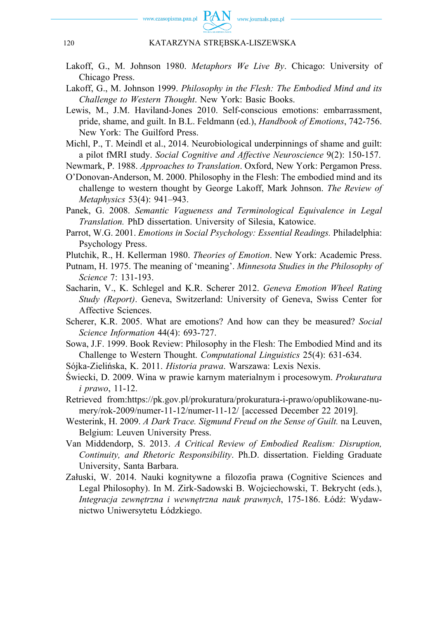

- Lakoff, G., M. Johnson 1980. *Metaphors We Live By*. Chicago: University of Chicago Press.
- Lakoff, G., M. Johnson 1999. *Philosophy in the Flesh: The Embodied Mind and its Challenge to Western Thought*. New York: Basic Books.
- Lewis, M., J.M. Haviland-Jones 2010. Self-conscious emotions: embarrassment, pride, shame, and guilt. In B.L. Feldmann (ed.), *Handbook of Emotions*, 742-756. New York: The Guilford Press.
- Michl, P., T. Meindl et al., 2014. Neurobiological underpinnings of shame and guilt: a pilot fMRI study. *Social Cognitive and Affective Neuroscience* 9(2): 150-157.

Newmark, P. 1988. *Approaches to Translation*. Oxford, New York: Pergamon Press.

O'Donovan-Anderson, M. 2000. Philosophy in the Flesh: The embodied mind and its challenge to western thought by George Lakoff, Mark Johnson. *The Review of Metaphysics* 53(4): 941–943.

Panek, G. 2008. *Semantic Vagueness and Terminological Equivalence in Legal Translation.* PhD dissertation. University of Silesia, Katowice.

- Parrot, W.G. 2001. *Emotions in Social Psychology: Essential Readings.* Philadelphia: Psychology Press.
- Plutchik, R., H. Kellerman 1980. *Theories of Emotion*. New York: Academic Press.
- Putnam, H. 1975. The meaning of 'meaning'. *Minnesota Studies in the Philosophy of Science* 7: 131-193.
- Sacharin, V., K. Schlegel and K.R. Scherer 2012. *Geneva Emotion Wheel Rating Study (Report)*. Geneva, Switzerland: University of Geneva, Swiss Center for Affective Sciences.
- Scherer, K.R. 2005. What are emotions? And how can they be measured? *Social Science Information* 44(4): 693-727.
- Sowa, J.F. 1999. Book Review: Philosophy in the Flesh: The Embodied Mind and its Challenge to Western Thought. *Computational Linguistics* 25(4): 631-634.
- Sójka-Zielińska, K. 2011. *Historia prawa*. Warszawa: Lexis Nexis.
- Świecki, D. 2009. Wina w prawie karnym materialnym i procesowym. *Prokuratura i prawo*, 11-12.
- Retrieved from:https://pk.gov.pl/prokuratura/prokuratura-i-prawo/opublikowane-numery/rok-2009/numer-11-12/numer-11-12/ [accessed December 22 2019].
- Westerink, H. 2009. *A Dark Trace. Sigmund Freud on the Sense of Guilt.* na Leuven, Belgium: Leuven University Press.
- Van Middendorp, S. 2013. *A Critical Review of Embodied Realism: Disruption, Continuity, and Rhetoric Responsibility*. Ph.D. dissertation. Fielding Graduate University, Santa Barbara.
- Załuski, W. 2014. Nauki kognitywne a filozofia prawa (Cognitive Sciences and Legal Philosophy). In M. Zirk-Sadowski B. Wojciechowski, T. Bekrycht (eds.), *Integracja zewnętrzna i wewnętrzna nauk prawnych*, 175-186. Łódź: Wydawnictwo Uniwersytetu Łódzkiego.